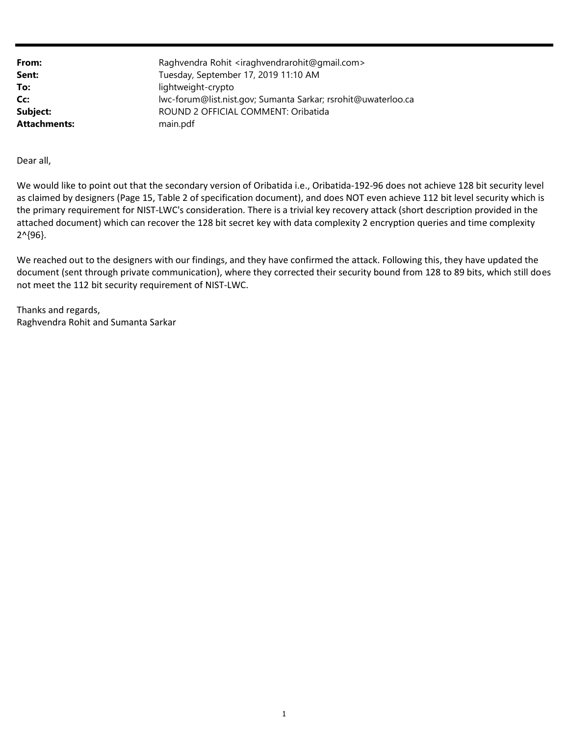| From:               | Raghvendra Rohit <iraghvendrarohit@gmail.com></iraghvendrarohit@gmail.com> |
|---------------------|----------------------------------------------------------------------------|
| Sent:               | Tuesday, September 17, 2019 11:10 AM                                       |
| To:                 | lightweight-crypto                                                         |
| Cc:                 | lwc-forum@list.nist.gov; Sumanta Sarkar; rsrohit@uwaterloo.ca              |
| Subject:            | ROUND 2 OFFICIAL COMMENT: Oribatida                                        |
| <b>Attachments:</b> | main.pdf                                                                   |

Dear all,

We would like to point out that the secondary version of Oribatida i.e., Oribatida-192-96 does not achieve 128 bit security level as claimed by designers (Page 15, Table 2 of specification document), and does NOT even achieve 112 bit level security which is the primary requirement for NIST-LWC's consideration. There is a trivial key recovery attack (short description provided in the attached document) which can recover the 128 bit secret key with data complexity 2 encryption queries and time complexity 2^{96}.

We reached out to the designers with our findings, and they have confirmed the attack. Following this, they have updated the document (sent through private communication), where they corrected their security bound from 128 to 89 bits, which still does not meet the 112 bit security requirement of NIST-LWC.

Thanks and regards, Raghvendra Rohit and Sumanta Sarkar